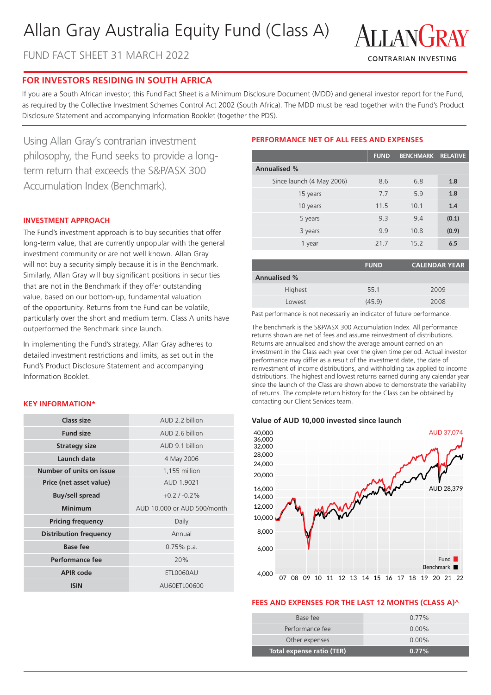# Allan Gray Australia Equity Fund (Class A)

FUND FACT SHEET 31 MARCH 2022



# **FOR INVESTORS RESIDING IN SOUTH AFRICA**

If you are a South African investor, this Fund Fact Sheet is a Minimum Disclosure Document (MDD) and general investor report for the Fund, as required by the Collective Investment Schemes Control Act 2002 (South Africa). The MDD must be read together with the Fund's Product Disclosure Statement and accompanying Information Booklet (together the PDS).

Using Allan Gray's contrarian investment philosophy, the Fund seeks to provide a longterm return that exceeds the S&P/ASX 300 Accumulation Index (Benchmark).

#### **INVESTMENT APPROACH**

The Fund's investment approach is to buy securities that offer long-term value, that are currently unpopular with the general investment community or are not well known. Allan Gray will not buy a security simply because it is in the Benchmark. Similarly, Allan Gray will buy significant positions in securities that are not in the Benchmark if they offer outstanding value, based on our bottom-up, fundamental valuation of the opportunity. Returns from the Fund can be volatile, particularly over the short and medium term. Class A units have outperformed the Benchmark since launch.

In implementing the Fund's strategy, Allan Gray adheres to detailed investment restrictions and limits, as set out in the Fund's Product Disclosure Statement and accompanying Information Booklet.

#### **KEY INFORMATION\***

| Class size                    | AUD 2.2 billion             |  |  |
|-------------------------------|-----------------------------|--|--|
| <b>Fund size</b>              | AUD 2.6 billion             |  |  |
| <b>Strategy size</b>          | AUD 9.1 billion             |  |  |
| Launch date                   | 4 May 2006                  |  |  |
| Number of units on issue      | 1,155 million               |  |  |
| Price (net asset value)       | AUD 1.9021                  |  |  |
| <b>Buy/sell spread</b>        | $+0.2/ -0.2\%$              |  |  |
|                               |                             |  |  |
| <b>Minimum</b>                | AUD 10,000 or AUD 500/month |  |  |
| <b>Pricing frequency</b>      | Daily                       |  |  |
| <b>Distribution frequency</b> | Annual                      |  |  |
| Base fee                      | $0.75\%$ p.a.               |  |  |
| Performance fee               | 20%                         |  |  |
| <b>APIR code</b>              | ETL0060AU                   |  |  |

# **PERFORMANCE NET OF ALL FEES AND EXPENSES**

|                           | <b>FUND</b> | <b>BENCHMARK</b> | <b>RELATIVE</b> |
|---------------------------|-------------|------------------|-----------------|
| <b>Annualised %</b>       |             |                  |                 |
| Since launch (4 May 2006) | 8.6         | 6.8              | 1.8             |
| 15 years                  | 7.7         | 5.9              | 1.8             |
| 10 years                  | 11.5        | 10.1             | 1.4             |
| 5 years                   | 9.3         | 9.4              | (0.1)           |
| 3 years                   | 9.9         | 10.8             | (0.9)           |
| 1 year                    | 21.7        | 15.2             | 6.5             |

|                     | <b>FUND</b> | <b>CALENDAR YEAR</b> |  |
|---------------------|-------------|----------------------|--|
| <b>Annualised %</b> |             |                      |  |
| Highest             | 55.1        | 2009                 |  |
| Lowest              | (45.9)      | 2008                 |  |

Past performance is not necessarily an indicator of future performance.

The benchmark is the S&P/ASX 300 Accumulation Index. All performance returns shown are net of fees and assume reinvestment of distributions. Returns are annualised and show the average amount earned on an investment in the Class each year over the given time period. Actual investor performance may differ as a result of the investment date, the date of reinvestment of income distributions, and withholding tax applied to income distributions. The highest and lowest returns earned during any calendar year since the launch of the Class are shown above to demonstrate the variability of returns. The complete return history for the Class can be obtained by contacting our Client Services team.

#### **Value of AUD 10,000 invested since launch**



#### **FEES AND EXPENSES FOR THE LAST 12 MONTHS (CLASS A)^**

| Base fee                  | $0.77\%$ |
|---------------------------|----------|
| Performance fee           | $0.00\%$ |
| Other expenses            | $0.00\%$ |
| Total expense ratio (TER) | $0.77\%$ |